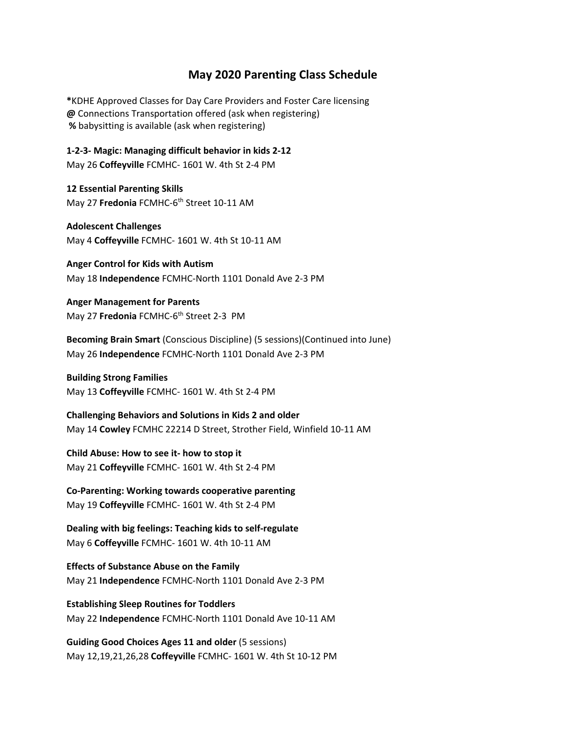## **May 2020 Parenting Class Schedule**

**\***KDHE Approved Classes for Day Care Providers and Foster Care licensing **@** Connections Transportation offered (ask when registering)  **%** babysitting is available (ask when registering)

**1-2-3- Magic: Managing difficult behavior in kids 2-12**  May 26 **Coffeyville** FCMHC- 1601 W. 4th St 2-4 PM

**12 Essential Parenting Skills** May 27 **Fredonia** FCMHC-6<sup>th</sup> Street 10-11 AM

**Adolescent Challenges**

May 4 **Coffeyville** FCMHC- 1601 W. 4th St 10-11 AM

**Anger Control for Kids with Autism**  May 18 **Independence** FCMHC-North 1101 Donald Ave 2-3 PM

**Anger Management for Parents** May 27 **Fredonia** FCMHC-6<sup>th</sup> Street 2-3 PM

**Becoming Brain Smart** (Conscious Discipline) (5 sessions)(Continued into June) May 26 **Independence** FCMHC-North 1101 Donald Ave 2-3 PM

**Building Strong Families**  May 13 **Coffeyville** FCMHC- 1601 W. 4th St 2-4 PM

**Challenging Behaviors and Solutions in Kids 2 and older**  May 14 **Cowley** FCMHC 22214 D Street, Strother Field, Winfield 10-11 AM

**Child Abuse: How to see it- how to stop it** May 21 **Coffeyville** FCMHC- 1601 W. 4th St 2-4 PM

**Co-Parenting: Working towards cooperative parenting** May 19 **Coffeyville** FCMHC- 1601 W. 4th St 2-4 PM

**Dealing with big feelings: Teaching kids to self-regulate**  May 6 **Coffeyville** FCMHC- 1601 W. 4th 10-11 AM

**Effects of Substance Abuse on the Family** May 21 **Independence** FCMHC-North 1101 Donald Ave 2-3 PM

**Establishing Sleep Routines for Toddlers** May 22 **Independence** FCMHC-North 1101 Donald Ave 10-11 AM

**Guiding Good Choices Ages 11 and older** (5 sessions) May 12,19,21,26,28 **Coffeyville** FCMHC- 1601 W. 4th St 10-12 PM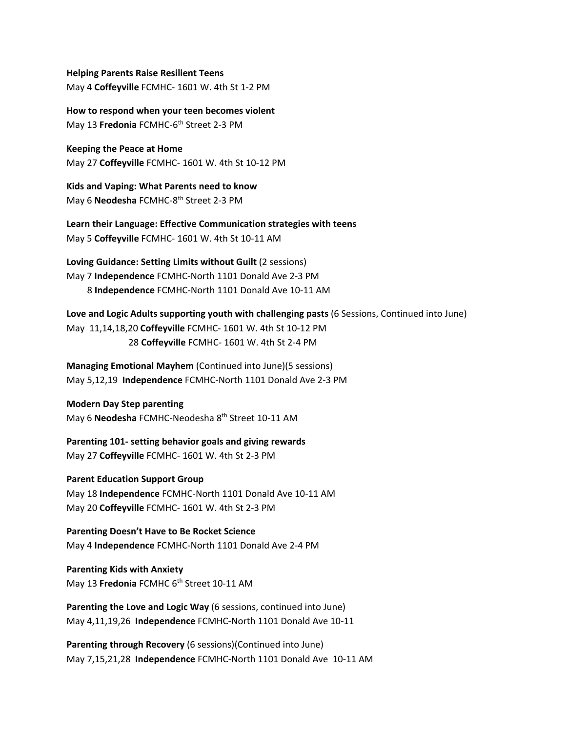**Helping Parents Raise Resilient Teens** May 4 **Coffeyville** FCMHC- 1601 W. 4th St 1-2 PM

**How to respond when your teen becomes violent** May 13 **Fredonia** FCMHC-6th Street 2-3 PM

**Keeping the Peace at Home** May 27 **Coffeyville** FCMHC- 1601 W. 4th St 10-12 PM

**Kids and Vaping: What Parents need to know** May 6 **Neodesha** FCMHC-8th Street 2-3 PM

**Learn their Language: Effective Communication strategies with teens**  May 5 **Coffeyville** FCMHC- 1601 W. 4th St 10-11 AM

**Loving Guidance: Setting Limits without Guilt** (2 sessions) May 7 **Independence** FCMHC-North 1101 Donald Ave 2-3 PM 8 **Independence** FCMHC-North 1101 Donald Ave 10-11 AM

**Love and Logic Adults supporting youth with challenging pasts** (6 Sessions, Continued into June) May 11,14,18,20 **Coffeyville** FCMHC- 1601 W. 4th St 10-12 PM 28 **Coffeyville** FCMHC- 1601 W. 4th St 2-4 PM

**Managing Emotional Mayhem** (Continued into June)(5 sessions) May 5,12,19 **Independence** FCMHC-North 1101 Donald Ave 2-3 PM

**Modern Day Step parenting**  May 6 **Neodesha** FCMHC-Neodesha 8th Street 10-11 AM

**Parenting 101- setting behavior goals and giving rewards** May 27 **Coffeyville** FCMHC- 1601 W. 4th St 2-3 PM

**Parent Education Support Group** May 18 **Independence** FCMHC-North 1101 Donald Ave 10-11 AM May 20 **Coffeyville** FCMHC- 1601 W. 4th St 2-3 PM

**Parenting Doesn't Have to Be Rocket Science** May 4 **Independence** FCMHC-North 1101 Donald Ave 2-4 PM

**Parenting Kids with Anxiety**  May 13 **Fredonia** FCMHC 6th Street 10-11 AM

**Parenting the Love and Logic Way** (6 sessions, continued into June) May 4,11,19,26 **Independence** FCMHC-North 1101 Donald Ave 10-11

**Parenting through Recovery** (6 sessions)(Continued into June) May 7,15,21,28 **Independence** FCMHC-North 1101 Donald Ave 10-11 AM